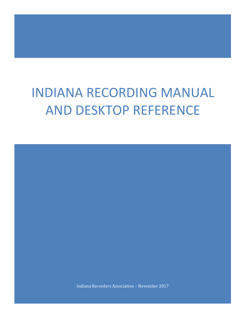# INDIANA RECORDING MANUAL AND DESKTOP REFERENCE

Indiana Recorders Association – November 2017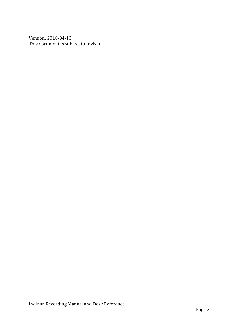Version: 2018-04-13. This document is subject to revision.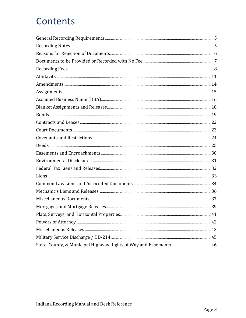## Contents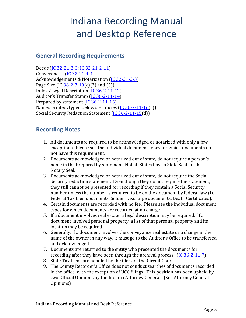## Indiana Recording Manual and Desktop Reference

## <span id="page-4-0"></span>**General Recording Requirements**

Deeds [\(IC 32-21-3-3;](http://iga.in.gov/legislative/laws/2017/ic/titles/032#32-21-3-3) [IC 32-21-2-11\)](http://iga.in.gov/legislative/laws/2017/ic/titles/032#32-21-2-11) Conveyance [\(IC 32-21-4-1\)](http://iga.in.gov/legislative/laws/2017/ic/titles/032#32-21-4-1) Acknowledgements & Notarization [\(IC 32-21-2-3\)](http://iga.in.gov/legislative/laws/2017/ic/titles/032#32-21-2-3) Page Size (IC  $36-2-7-10(c)(3)$  and (5)) Index / Legal Description [\(IC 36-2-11-12\)](http://iga.in.gov/legislative/laws/2017/ic/titles/036#36-2-11-12) Auditor's Transfer Stamp [\(IC 36-2-11-14\)](http://iga.in.gov/legislative/laws/2017/ic/titles/036#36-2-11-14) Prepared by statement [\(IC 36-2-11-15\)](http://iga.in.gov/legislative/laws/2017/ic/titles/036#36-2-11-15) Names printed/typed below signatures  $(IC 36-2-11-16(c))$  $(IC 36-2-11-16(c))$ Social Security Redaction Statement [\(IC 36-2-11-15\(](http://iga.in.gov/legislative/laws/2017/ic/titles/036#36-2-11-15)d))

### <span id="page-4-1"></span>**Recording Notes**

- 1. All documents are required to be acknowledged or notarized with only a few exceptions. Please see the individual document types for which documents do not have this requirement.
- 2. Documents acknowledged or notarized out of state, do not require a person's name in the Prepared by statement. Not all States have a State Seal for the Notary Seal.
- 3. Documents acknowledged or notarized out of state, do not require the Social Security redaction statement. Even though they do not require the statement, they still cannot be presented for recording if they contain a Social Security number unless the number is required to be on the document by federal law (i.e. Federal Tax Lien documents, Soldier Discharge documents, Death Certificates).
- 4. Certain documents are recorded with no fee. Please see the individual document types for which documents are recorded at no charge.
- 5. If a document involves real estate, a legal description may be required. If a document involved personal property, a list of that personal property and its location may be required.
- 6. Generally, if a document involves the conveyance real estate or a change in the name of the owner in any way, it must go to the Auditor's Office to be transferred and acknowledged.
- 7. Documents are returned to the entity who presented the documents for recording after they have been through the archival process. [\(IC 36-2-11-7\)](http://iga.in.gov/legislative/laws/2017/ic/titles/036/#36-2-11-7)
- 8. State Tax Liens are handled by the Clerk of the Circuit Court.
- 9. The County Recorder's Office does not conduct searches of documents recorded in the office, with the exception of UCC filings. This position has been upheld by two Official Opinions by the Indiana Attorney General. (See Attorney General Opinions)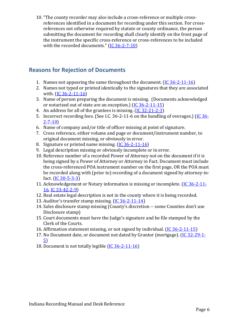10. "The county recorder may also include a cross-reference or multiple crossreferences identified in a document for recording under this section. For crossreferences not otherwise required by statute or county ordinance, the person submitting the document for recording shall clearly identify on the front page of the instrument the specific cross-reference or cross-references to be included with the recorded documents."  $(IC 36-2-7-10)$ 

## <span id="page-5-0"></span>**Reasons for Rejection of Documents**

- 1. Names not appearing the same throughout the document. [\(IC 36-2-11-16\)](http://iga.in.gov/legislative/laws/2017/ic/titles/036#36-2-11-16)
- 2. Names not typed or printed identically to the signatures that they are associated with. [\(IC 36-2-11-16\)](http://iga.in.gov/legislative/laws/2017/ic/titles/036#36-2-11-16)
- 3. Name of person preparing the document is missing. (Documents acknowledged or notarized out of state are an exception.) [\(IC 36-2-11-15\)](http://iga.in.gov/legislative/laws/2017/ic/titles/036#36-2-11-15)
- 4. An address for all of the grantees is missing. [\(IC 32-21-2-3\)](http://iga.in.gov/legislative/laws/2017/ic/titles/032#32-21-2-3)
- 5. Incorrect recording fees. (See I.C. 36-2-11-6 on the handling of overages.) [\(IC 36-](http://iga.in.gov/legislative/laws/2017/ic/titles/036#36-2-7-10) [2-7-10\)](http://iga.in.gov/legislative/laws/2017/ic/titles/036#36-2-7-10)
- 6. Name of company and/or title of officer missing at point of signature.
- 7. Cross reference, either volume and page or document/instrument number, to original document missing, or obviously in error.
- 8. Signature or printed name missing. [\(IC 36-2-11-16\)](http://iga.in.gov/legislative/laws/2017/ic/titles/036#36-2-11-16)
- 9. Legal description missing or obviously incomplete or in error.
- 10. Reference number of a recorded Power of Attorney not on the document if it is being signed by a Power of Attorney or Attorney in Fact. Document must include the cross-referenced POA instrument number on the first page, OR the POA must be recorded along with (prior to) recording of a document signed by attorney-infact.  $(1C_30 - 5 - 3 - 3)$
- 11. Acknowledgement or Notary information is missing or incomplete. [\(IC 36-2-11-](http://iga.in.gov/legislative/laws/2017/ic/titles/036#36-2-11-16) [16,](http://iga.in.gov/legislative/laws/2017/ic/titles/036#36-2-11-16) [IC 33-42-2-9\)](http://iga.in.gov/legislative/laws/2017/ic/titles/033#33-42-2-9)
- 12. Real estate legal description is not in the county where it is being recorded.
- 13. Auditor's transfer stamp missing. [\(IC 36-2-11-14\)](http://iga.in.gov/legislative/laws/2017/ic/titles/036#36-2-11-14)
- 14. Sales disclosure stamp missing (County's discretion -- some Counties don't use Disclosure stamp)
- 15. Court documents must have the Judge's signature and be file stamped by the Clerk of the Courts.
- 16. Affirmation statement missing, or not signed by individual. [\(IC 36-2-11-15\)](http://iga.in.gov/legislative/laws/2017/ic/titles/036#36-2-11-15)
- 17. No Document date, or document not dated by Grantor (mortgage). [\(IC 32-29-1-](http://iga.in.gov/legislative/laws/2017/ic/titles/032#32-29-1-5) [5\)](http://iga.in.gov/legislative/laws/2017/ic/titles/032#32-29-1-5)
- <span id="page-5-1"></span>18. Document is not totally legible [\(IC 36-2-11-16\)](http://iga.in.gov/legislative/laws/2017/ic/titles/036#36-2-11-16)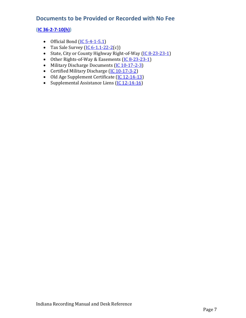## **Documents to be Provided or Recorded with No Fee**

#### **[\(IC 36-2-7-10\(h\)\)](http://iga.in.gov/legislative/laws/2017/ic/titles/036#36-2-7-10)**

- Official Bond  $(IC 5-4-1-5.1)$
- Tax Sale Survey  $(IC 6-1.1-22-2(c))$  $(IC 6-1.1-22-2(c))$
- State, City or County Highway Right-of-Way [\(IC 8-23-23-1\)](http://iga.in.gov/legislative/laws/2017/ic/titles/008#8-23-23-1)
- Other Rights-of-Way & Easements [\(IC 8-23-23-1\)](http://iga.in.gov/legislative/laws/2017/ic/titles/008#8-23-23-1)
- Military Discharge Documents [\(IC 10-17-2-3\)](http://iga.in.gov/legislative/laws/2017/ic/titles/036#10-17-2-3)
- Certified Military Discharge [\(IC 10-17-3-2\)](http://iga.in.gov/legislative/laws/2017/ic/titles/010#10-17-3-2)
- Old Age Supplement Certificate [\(IC 12-14-13\)](http://iga.in.gov/legislative/laws/2017/ic/titles/012#12-14-13)
- Supplemental Assistance Liens [\(IC 12-14-16\)](http://iga.in.gov/legislative/laws/2017/ic/titles/012#12-14-16)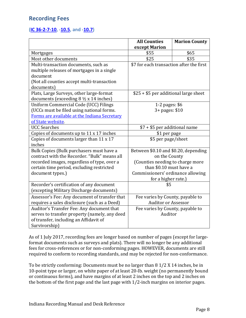## <span id="page-7-0"></span>**Recording Fees**

#### **[\(IC 36-2-7-10,](http://iga.in.gov/legislative/laws/2017/ic/titles/036#36-2-7-10) [-10.5,](http://iga.in.gov/legislative/laws/2017/ic/titles/036#36-2-7-10.5) and [-10.7\)](http://iga.in.gov/legislative/laws/2017/ic/titles/036#36-2-7-10.7)**

|                                                                               | <b>All Counties</b>                      | <b>Marion County</b> |
|-------------------------------------------------------------------------------|------------------------------------------|----------------------|
|                                                                               | except Marion                            |                      |
| Mortgages                                                                     | \$55                                     | \$65                 |
| Most other documents                                                          | \$25                                     | \$35                 |
| Multi-transaction documents, such as                                          | \$7 for each transaction after the first |                      |
| multiple releases of mortgages in a single                                    |                                          |                      |
| document                                                                      |                                          |                      |
| (Not all counties accept multi-transaction                                    |                                          |                      |
| documents)                                                                    |                                          |                      |
| Plats, Large Surveys, other large-format                                      | \$25 + \$5 per additional large sheet    |                      |
| documents (exceeding $8 \frac{1}{2} \times 14$ inches)                        |                                          |                      |
| Uniform Commercial Code (UCC) Filings                                         | 1-2 pages: \$6                           |                      |
| (UCCs must be filed using national forms.                                     | 3+ pages: \$10                           |                      |
| Forms are available at the Indiana Secretary                                  |                                          |                      |
| of State website.                                                             |                                          |                      |
| <b>UCC Searches</b>                                                           | \$7 + \$5 per additional name            |                      |
| Copies of documents up to 11 x 17 inches                                      | \$1 per page                             |                      |
| Copies of documents larger than 11 x 17                                       | \$5 per page/sheet                       |                      |
| inches                                                                        |                                          |                      |
| Bulk Copies (Bulk purchasers must have a                                      | Between \$0.10 and \$0.20, depending     |                      |
| contract with the Recorder. "Bulk" means all                                  | on the County                            |                      |
| recorded images, regardless of type, over a                                   | (Counties needing to charge more         |                      |
| certain time period, excluding restricted                                     | than \$0.10 must have a                  |                      |
| document types.)                                                              | Commissioners' ordinance allowing        |                      |
|                                                                               | for a higher rate.)                      |                      |
| Recorder's certification of any document                                      | \$5                                      |                      |
| (excepting Military Discharge documents)                                      |                                          |                      |
| Assessor's Fee: Any document of transfer that                                 | Fee varies by County, payable to         |                      |
| requires a sales disclosure (such as a Deed)                                  | <b>Auditor or Assessor</b>               |                      |
| Auditor's Transfer Fee: Any document that<br>Fee varies by County, payable to |                                          |                      |
| serves to transfer property (namely, any deed                                 | Auditor                                  |                      |
| of transfer, including an Affidavit of                                        |                                          |                      |
| Survivorship)                                                                 |                                          |                      |

As of 1 July 2017, recording fees are longer based on number of pages (except for largeformat documents such as surveys and plats). There will no longer be any additional fees for cross-references or for non-conforming pages. HOWEVER, documents are still required to conform to recording standards, and may be rejected for non-conformance.

To be strictly conforming: Documents must be no larger than 8 1/2 X 14 inches, be in 10-point type or larger, on white paper of at least 20-lb. weight (no permanently bound or continuous forms), and have margins of at least 2 inches on the top and 2 inches on the bottom of the first page and the last page with 1/2-inch margins on interior pages.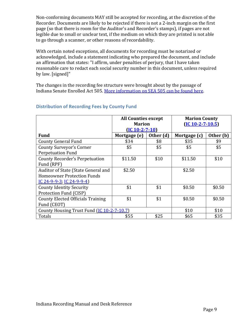Non-conforming documents MAY still be accepted for recording, at the discretion of the Recorder. Documents are likely to be rejected if there is not a 2-inch margin on the first page (so that there is room for the Auditor's and Recorder's stamps), if pages are not legible due to small or unclear text, if the medium on which they are printed is not able to go through a scanner, or other reasons of recordability.

With certain noted exceptions, all documents for recording must be notarized or acknowledged, include a statement indicating who prepared the document, and include an affirmation that states: "I affirm, under penalties of perjury, that I have taken reasonable care to redact each social security number in this document, unless required by law. [signed]"

The changes in the recording fee structure were brought about by the passage of Indiana Senate Enrolled Act 505. [More information on SEA 505 can be found here.](http://indianarecorders.org/resources/sb505-summary/)

|                                                            | <b>All Counties except</b> |           | <b>Marion County</b> |           |
|------------------------------------------------------------|----------------------------|-----------|----------------------|-----------|
|                                                            | <b>Marion</b>              |           | $(IC 10-2-7-10.5)$   |           |
|                                                            | $(IC 10-2-7-10)$           |           |                      |           |
| <b>Fund</b>                                                | Mortgage (e)               | Other (d) | Mortgage (c)         | Other (b) |
| <b>County General Fund</b>                                 | \$34                       | \$8       | \$35                 | \$9       |
| <b>County Surveyor's Corner</b>                            | \$5                        | \$5       | \$5                  | \$5       |
| <b>Perpetuation Fund</b>                                   |                            |           |                      |           |
| <b>County Recorder's Perpetuation</b>                      | \$11.50                    | \$10      | \$11.50              | \$10      |
| Fund (RPF)                                                 |                            |           |                      |           |
| Auditor of State (State General and                        | \$2.50                     |           | \$2.50               |           |
| <b>Homeowner Protection Funds</b>                          |                            |           |                      |           |
| IC 24-9-9-3, IC 24-9-9-4)                                  |                            |           |                      |           |
| <b>County Identity Security</b>                            | \$1                        | \$1       | \$0.50               | \$0.50    |
| Protection Fund (CISP)                                     |                            |           |                      |           |
| <b>County Elected Officials Training</b>                   | \$1                        | \$1       | \$0.50               | \$0.50    |
| Fund (CEOT)                                                |                            |           |                      |           |
| County Housing Trust Fund (IC 10-2-7-10.7)<br>\$10<br>\$10 |                            |           |                      |           |
| Totals                                                     | \$55                       | \$25      | \$65                 | \$35      |

#### **Distribution of Recording Fees by County Fund**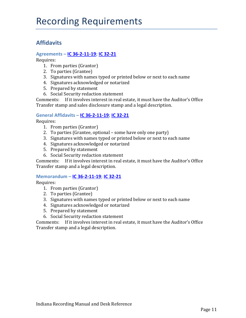## **Affidavits**

#### **Agreements – [IC 36-2-11-19;](http://iga.in.gov/legislative/laws/2017/ic/titles/036#36-2-11-19) [IC 32-21](http://iga.in.gov/legislative/laws/2017/ic/titles/032#32-21)**

Requires:

- 1. From parties (Grantor)
- 2. To parties (Grantee)
- 3. Signatures with names typed or printed below or next to each name
- 4. Signatures acknowledged or notarized
- 5. Prepared by statement
- 6. Social Security redaction statement

Comments: If it involves interest in real estate, it must have the Auditor's Office Transfer stamp and sales disclosure stamp and a legal description.

#### **General Affidavits – [IC 36-2-11-19;](http://iga.in.gov/legislative/laws/2017/ic/titles/036#36-2-11-19) [IC 32-21](http://iga.in.gov/legislative/laws/2017/ic/titles/032#32-21)**

Requires:

- 1. From parties (Grantor)
- 2. To parties (Grantee, optional some have only one party)
- 3. Signatures with names typed or printed below or next to each name
- 4. Signatures acknowledged or notarized
- 5. Prepared by statement
- 6. Social Security redaction statement

Comments: If it involves interest in real estate, it must have the Auditor's Office Transfer stamp and a legal description.

#### **Memorandum – [IC 36-2-11-19;](http://iga.in.gov/legislative/laws/2017/ic/titles/036#36-2-11-19) [IC 32-21](http://iga.in.gov/legislative/laws/2017/ic/titles/032#32-21)**

Requires:

- 1. From parties (Grantor)
- 2. To parties (Grantee)
- 3. Signatures with names typed or printed below or next to each name
- 4. Signatures acknowledged or notarized
- 5. Prepared by statement
- 6. Social Security redaction statement

Comments: If it involves interest in real estate, it must have the Auditor's Office Transfer stamp and a legal description.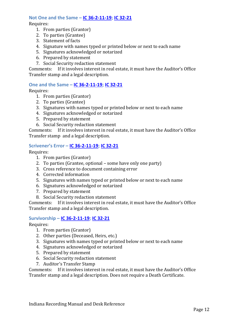#### **Not One and the Same – [IC 36-2-11-19;](http://iga.in.gov/legislative/laws/2017/ic/titles/036#36-2-11-19) [IC 32-21](http://iga.in.gov/legislative/laws/2017/ic/titles/032#32-21)**

Requires:

- 1. From parties (Grantor)
- 2. To parties (Grantee)
- 3. Statement of facts
- 4. Signature with names typed or printed below or next to each name
- 5. Signatures acknowledged or notarized
- 6. Prepared by statement
- 7. Social Security redaction statement

Comments: If it involves interest in real estate, it must have the Auditor's Office Transfer stamp and a legal description.

#### **One and the Same – [IC 36-2-11-19;](http://iga.in.gov/legislative/laws/2017/ic/titles/036#36-2-11-19) [IC 32-21](http://iga.in.gov/legislative/laws/2017/ic/titles/032#32-21)**

Requires:

- 1. From parties (Grantor)
- 2. To parties (Grantee)
- 3. Signatures with names typed or printed below or next to each name
- 4. Signatures acknowledged or notarized
- 5. Prepared by statement
- 6. Social Security redaction statement

Comments: If it involves interest in real estate, it must have the Auditor's Office Transfer stamp and a legal description.

#### **Scrivener's Error – [IC 36-2-11-19;](http://iga.in.gov/legislative/laws/2017/ic/titles/036#36-2-11-19) [IC 32-21](http://iga.in.gov/legislative/laws/2017/ic/titles/032#32-21)**

Requires:

- 1. From parties (Grantor)
- 2. To parties (Grantee, optional some have only one party)
- 3. Cross reference to document containing error
- 4. Corrected information
- 5. Signatures with names typed or printed below or next to each name
- 6. Signatures acknowledged or notarized
- 7. Prepared by statement
- 8. Social Security redaction statement

Comments: If it involves interest in real estate, it must have the Auditor's Office Transfer stamp and a legal description.

#### **Survivorship – [IC 36-2-11-19;](http://iga.in.gov/legislative/laws/2017/ic/titles/036#36-2-11-19) [IC 32-21](http://iga.in.gov/legislative/laws/2017/ic/titles/032#32-21)**

Requires:

- 1. From parties (Grantor)
- 2. Other parties (Deceased, Heirs, etc.)
- 3. Signatures with names typed or printed below or next to each name
- 4. Signatures acknowledged or notarized
- 5. Prepared by statement
- 6. Social Security redaction statement
- 7. Auditor's Transfer Stamp

Comments: If it involves interest in real estate, it must have the Auditor's Office Transfer stamp and a legal description. Does not require a Death Certificate.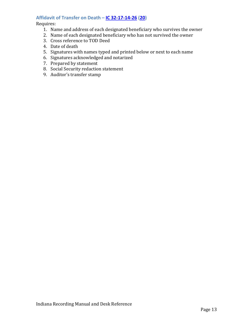### **Affidavit of Transfer on Death – [IC 32-17-14-26](http://iga.in.gov/legislative/laws/2017/ic/titles/032#32-17-14-26) [\(20\)](http://iga.in.gov/legislative/laws/2017/ic/titles/032#32-17-14-20)**

- 1. Name and address of each designated beneficiary who survives the owner
- 2. Name of each designated beneficiary who has not survived the owner
- 3. Cross reference to TOD Deed
- 4. Date of death
- 5. Signatures with names typed and printed below or next to each name
- 6. Signatures acknowledged and notarized
- 7. Prepared by statement
- 8. Social Security redaction statement
- 9. Auditor's transfer stamp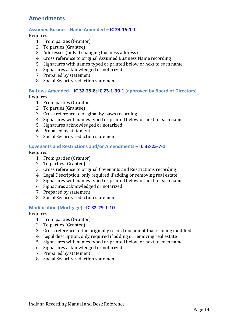## <span id="page-13-0"></span>**Amendments**

#### **Assumed Business Name Amended – [IC 23-15-1-1](http://iga.in.gov/legislative/laws/2017/ic/titles/023#23-15-1-1)**

Requires:

- 1. From parties (Grantor)
- 2. To parties (Grantee)
- 3. Addresses (only if changing business address)
- 4. Cross reference to original Assumed Business Name recording
- 5. Signatures with names typed or printed below or next to each name
- 6. Signatures acknowledged or notarized
- 7. Prepared by statement
- 8. Social Security redaction statement

#### **By-Laws Amended – [IC 32-25-8;](http://iga.in.gov/legislative/laws/2017/ic/titles/032#32-25-8) [IC 23-1-39-1](http://iga.in.gov/legislative/laws/2017/ic/titles/023#23-1-39-1) (approved by Board of Directors)**

Requires:

- 1. From parties (Grantor)
- 2. To parties (Grantee)
- 3. Cross reference to original By Laws recording
- 4. Signatures with names typed or printed below or next to each name
- 5. Signatures acknowledged or notarized
- 6. Prepared by statement
- 7. Social Security redaction statement

#### **Covenants and Restrictions and/or Amendments – [IC 32-25-7-1](http://iga.in.gov/legislative/laws/2017/ic/titles/032#32-25-7-1)**

Requires:

- 1. From parties (Grantor)
- 2. To parties (Grantee)
- 3. Cross reference to original Covenants and Restrictions recording
- 4. Legal Description, only required if adding or removing real estate
- 5. Signatures with names typed or printed below or next to each name
- 6. Signatures acknowledged or notarized
- 7. Prepared by statement
- 8. Social Security redaction statement

#### **Modification (Mortgage) [–IC 32-29-1-10](http://iga.in.gov/legislative/laws/2017/ic/titles/032#32-29-1-10)**

- 1. From parties (Grantor)
- 2. To parties (Grantee)
- 3. Cross reference to the originally record document that is being modified
- 4. Legal description, only required if adding or removing real estate
- 5. Signatures with names typed or printed below or next to each name
- 6. Signatures acknowledged or notarized
- 7. Prepared by statement
- 8. Social Security redaction statement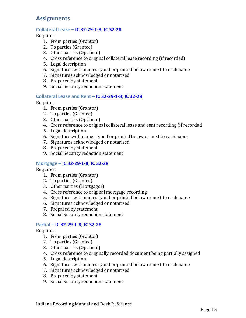## <span id="page-14-0"></span>**Assignments**

#### **Collateral Lease – [IC 32-29-1-8;](http://iga.in.gov/legislative/laws/2017/ic/titles/032#32-29-1-8) [IC 32-28](http://iga.in.gov/legislative/laws/2017/ic/titles/032#32-28)**

Requires:

- 1. From parties (Grantor)
- 2. To parties (Grantee)
- 3. Other parties (Optional)
- 4. Cross reference to original collateral lease recording (if recorded)
- 5. Legal description
- 6. Signatures with names typed or printed below or next to each name
- 7. Signatures acknowledged or notarized
- 8. Prepared by statement
- 9. Social Security redaction statement

#### **Collateral Lease and Rent – [IC 32-29-1-8;](http://iga.in.gov/legislative/laws/2017/ic/titles/032#32-29-1-8) IC [32-28](http://iga.in.gov/legislative/laws/2017/ic/titles/032#32-28)**

Requires:

- 1. From parties (Grantor)
- 2. To parties (Grantee)
- 3. Other parties (Optional)
- 4. Cross reference to original collateral lease and rent recording (if recorded
- 5. Legal description
- 6. Signature with names typed or printed below or next to each name
- 7. Signatures acknowledged or notarized
- 8. Prepared by statement
- 9. Social Security redaction statement

#### **Mortgage – [IC 32-29-1-8;](http://iga.in.gov/legislative/laws/2017/ic/titles/032#32-29-1-8) [IC 32-28](http://iga.in.gov/legislative/laws/2017/ic/titles/032#32-28)**

Requires:

- 1. From parties (Grantor)
- 2. To parties (Grantee)
- 3. Other parties (Mortgagor)
- 4. Cross reference to original mortgage recording
- 5. Signatures with names typed or printed below or next to each name
- 6. Signatures acknowledged or notarized
- 7. Prepared by statement
- 8. Social Security redaction statement

#### **Partial – [IC 32-29-1-8;](http://iga.in.gov/legislative/laws/2017/ic/titles/032#32-29-1-8) [IC 32-28](http://iga.in.gov/legislative/laws/2017/ic/titles/032#32-28)**

- 1. From parties (Grantor)
- 2. To parties (Grantee)
- 3. Other parties (Optional)
- 4. Cross reference to originally recorded document being partially assigned
- 5. Legal description
- 6. Signatures with names typed or printed below or next to each name
- 7. Signatures acknowledged or notarized
- 8. Prepared by statement
- 9. Social Security redaction statement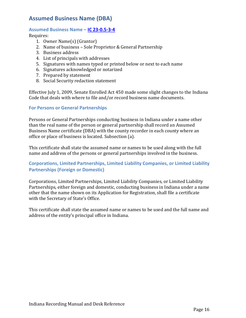## <span id="page-15-0"></span>**Assumed Business Name (DBA)**

#### **Assumed Business Name – [IC 23-0.5-3-4](http://iga.in.gov/legislative/laws/2017/ic/titles/023#23-0.5-3-4)**

Requires:

- 1. Owner Name(s) (Grantor)
- 2. Name of business Sole Proprietor & General Partnership
- 3. Business address
- 4. List of principals with addresses
- 5. Signatures with names typed or printed below or next to each name
- 6. Signatures acknowledged or notarized
- 7. Prepared by statement
- 8. Social Security redaction statement

Effective July 1, 2009, Senate Enrolled Act 450 made some slight changes to the Indiana Code that deals with where to file and/or record business name documents.

#### **For Persons or General Partnerships**

Persons or General Partnerships conducting business in Indiana under a name other than the real name of the person or general partnership shall record an Assumed Business Name certificate (DBA) with the county recorder in each county where an office or place of business is located. Subsection (a).

This certificate shall state the assumed name or names to be used along with the full name and address of the persons or general partnerships involved in the business.

#### **Corporations, Limited Partnerships, Limited Liability Companies, or Limited Liability Partnerships (Foreign or Domestic)**

Corporations, Limited Partnerships, Limited Liability Companies, or Limited Liability Partnerships, either foreign and domestic, conducting business in Indiana under a name other that the name shown on its Application for Registration, shall file a certificate with the Secretary of State's Office.

This certificate shall state the assumed name or names to be used and the full name and address of the entity's principal office in Indiana.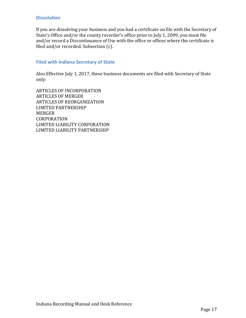#### **Dissolution**

If you are dissolving your business and you had a certificate on file with the Secretary of State's Office and/or the county recorder's office prior to July 1, 2009, you must file and/or record a Discontinuance of Use with the office or offices where the certificate is filed and/or recorded. Subsection (c).

#### **Filed with Indiana Secretary of State**

Also Effective July 1, 2017, these business documents are filed with Secretary of State only:

ARTICLES OF INCORPORATION ARTICLES OF MERGER ARTICLES OF REORGANIZATION LIMITED PARTNERSHIP MERGER CORPORATION LIMITED LIABILITY CORPORATION LIMITED LIABILITY PARTNERSHIP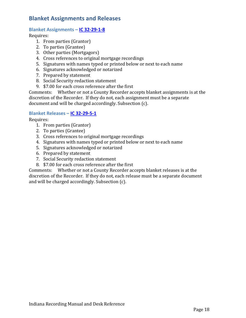## <span id="page-17-0"></span>**Blanket Assignments and Releases**

#### **Blanket Assignments – [IC 32-29-1-8](http://iga.in.gov/legislative/laws/2017/ic/titles/032#32-29-1-8)**

Requires:

- 1. From parties (Grantor)
- 2. To parties (Grantee)
- 3. Other parties (Mortgagors)
- 4. Cross references to original mortgage recordings
- 5. Signatures with names typed or printed below or next to each name
- 6. Signatures acknowledged or notarized
- 7. Prepared by statement
- 8. Social Security redaction statement
- 9. \$7.00 for each cross reference after the first

Comments: Whether or not a County Recorder accepts blanket assignments is at the discretion of the Recorder. If they do not, each assignment must be a separate document and will be charged accordingly. Subsection (c).

#### **Blanket Releases – [IC 32-29-5-1](http://iga.in.gov/legislative/laws/2017/ic/titles/032#32-29-5-1)**

Requires:

- 1. From parties (Grantor)
- 2. To parties (Grantee)
- 3. Cross references to original mortgage recordings
- 4. Signatures with names typed or printed below or next to each name
- 5. Signatures acknowledged or notarized
- 6. Prepared by statement
- 7. Social Security redaction statement
- 8. \$7.00 for each cross reference after the first

Comments: Whether or not a County Recorder accepts blanket releases is at the discretion of the Recorder. If they do not, each release must be a separate document and will be charged accordingly. Subsection (c).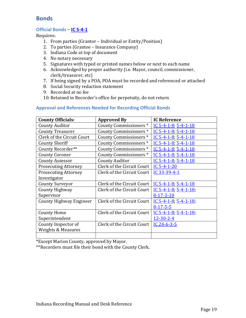## <span id="page-18-0"></span>**Bonds**

#### **Official Bonds – [IC 5-4-1](http://iga.in.gov/legislative/laws/2017/ic/titles/005#5-4-1)**

Requires:

- 1. From parties (Grantor Individual or Entity/Position)
- 2. To parties (Grantee Insurance Company)
- 3. Indiana Code at top of document
- 4. No notary necessary
- 5. Signatures with typed or printed names below or next to each name
- 6. Acknowledged by proper authority (i.e. Mayor, council, commissioner, clerk/treasurer, etc)
- 7. If being signed by a POA, POA must be recorded and referenced or attached
- 8. Social Security redaction statement
- 9. Recorded at no fee
- 10. Retained in Recorder's office for perpetuity, do not return

| <b>County Officials:</b>       | <b>Approved By</b>         | <b>IC Reference</b>         |
|--------------------------------|----------------------------|-----------------------------|
| <b>County Auditor</b>          | County Commissioners*      | IC $5-4-1-8$ ; $5-4-1-18$   |
| <b>County Treasurer</b>        | County Commissioners*      | IC $5-4-1-8$ ; $5-4-1-18$   |
| Clerk of the Circuit Court     | County Commissioners*      | IC $5-4-1-8$ ; $5-4-1-18$   |
| <b>County Sheriff</b>          | County Commissioners*      | IC $5-4-1-8$ ; $5-4-1-18$   |
| County Recorder**              | County Commissioners*      | IC $5-4-1-8$ ; $5-4-1-18$   |
| <b>County Coroner</b>          | County Commissioners*      | IC $5-4-1-8$ ; $5-4-1-18$   |
| <b>County Assessor</b>         | <b>County Auditor</b>      | IC $5-4-1-8$ ; $5-4-1-18$   |
| <b>Prosecuting Attorney</b>    | Clerk of the Circuit Court | IC $5-4-1-20$               |
| <b>Prosecuting Attorney</b>    | Clerk of the Circuit Court | IC 33-39-4-1                |
| Investigator                   |                            |                             |
| <b>County Surveyor</b>         | Clerk of the Circuit Court | IC $5-4-1-8$ , $5-4-1-18$   |
| <b>County Highway</b>          | Clerk of the Circuit Court | IC $5-4-1-8$ , $5-4-1-18$ , |
| Supervisor                     |                            | $8-17-3-10$                 |
| <b>County Highway Engineer</b> | Clerk of the Circuit Court | IC $5-4-1-8$ ; $5-4-1-18$ ; |
|                                |                            | $8-17-5-5$                  |
| <b>County Home</b>             | Clerk of the Circuit Court | IC $5-4-1-8$ , $5-4-1-18$ , |
| Superintendent                 |                            | $12 - 30 - 2 - 4$           |
| County Inspector of            | Clerk of the Circuit Court | IC 24-6-3-5                 |
| <b>Weights &amp; Measures</b>  |                            |                             |
|                                |                            |                             |

#### **Approval and References Needed for Recording Official Bonds**

\*Except Marion County, approved by Mayor.

\*\*Recorders must file their bond with the County Clerk.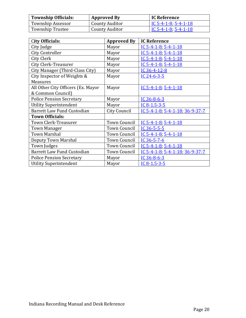| <b>Township Officials:</b> | <b>Approved By</b> | <b>IC Reference</b>    |
|----------------------------|--------------------|------------------------|
| <b>Township Assessor</b>   | County Auditor     | $IC$ 5-4-1-8; 5-4-1-18 |
| <b>Township Trustee</b>    | County Auditor     | $IC$ 5-4-1-8; 5-4-1-18 |

| City Officials:                    | <b>Approved By</b>  | <b>IC Reference</b>                  |
|------------------------------------|---------------------|--------------------------------------|
| City Judge                         | Mayor               | IC 5-4-1-8, 5-4-1-18                 |
| <b>City Controller</b>             | Mayor               | IC $5-4-1-8$ ; $5-4-1-18$            |
| City Clerk                         | Mayor               | IC $5-4-1-8$ ; $5-4-1-18$            |
| <b>City Clerk-Treasurer</b>        | Mayor               | IC $5-4-1-8$ ; $5-4-1-18$            |
| City Manager (Third-Class City)    | Mayor               | IC 36-4-12-8                         |
| City Inspector of Weights &        | Mayor               | IC 24-6-3-5                          |
| Measures                           |                     |                                      |
| All Other City Officers (Ex. Mayor | Mayor               | IC $5-4-1-8$ ; $5-4-1-18$            |
| & Common Council)                  |                     |                                      |
| <b>Police Pension Secretary</b>    | Mayor               | IC $36 - 8 - 6 - 3$                  |
| <b>Utility Superintendent</b>      | Mayor               | IC $8-1.5-3-5$                       |
| <b>Barrett Law Fund Custodian</b>  | <b>City Council</b> | IC 5-4-1-8; $5-4-1-18$ ; $36-9-37-7$ |
| <b>Town Officials:</b>             |                     |                                      |
| Town Clerk-Treasurer               | Town Council        | IC 5-4-1-8, 5-4-1-18                 |
| <b>Town Manager</b>                | <b>Town Council</b> | IC 36-5-5-5                          |
| <b>Town Marshal</b>                | <b>Town Council</b> | IC $5-4-1-8$ ; $5-4-1-18$            |
| Deputy Town Marshal                | <b>Town Council</b> | IC 36-5-7-6                          |
| Town Judges                        | <b>Town Council</b> | IC $5-4-1-8$ , $5-4-1-18$            |
| <b>Barrett Law Fund Custodian</b>  | <b>Town Council</b> | IC 5-4-1-8; 5-4-1-18; 36-9-37-7      |
| <b>Police Pension Secretary</b>    | Mayor               | IC 36-8-6-3                          |
| <b>Utility Superintendent</b>      | Mayor               | IC8-1.5-3-5                          |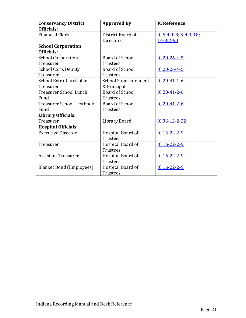| <b>Conservancy District</b>      | <b>Approved By</b>           | <b>IC Reference</b>         |
|----------------------------------|------------------------------|-----------------------------|
| Officials:                       |                              |                             |
| <b>Financial Clerk</b>           | District Board of            | IC $5-4-1-8$ , $5-4-1-18$ , |
|                                  | <b>Directors</b>             | 14-8-2-90                   |
| <b>School Corporation</b>        |                              |                             |
| Officials:                       |                              |                             |
| <b>School Corporation</b>        | <b>Board of School</b>       | IC 20-26-4-5                |
| Treasurer                        | Trustees                     |                             |
| <b>School Corp. Deputy</b>       | <b>Board of School</b>       | IC 20-26-4-5                |
| Treasurer                        | <b>Trustees</b>              |                             |
| School Extra-Curricular          | <b>School Superintendent</b> | IC 20-41-1-6                |
| Treasurer                        | & Principal                  |                             |
| <b>Treasurer School Lunch</b>    | <b>Board of School</b>       | IC 20-41-2-6                |
| Fund                             | Trustees                     |                             |
| <b>Treasurer School Textbook</b> | Board of School              | IC 20-41-2-6                |
| Fund                             | <b>Trustees</b>              |                             |
| <b>Library Officials:</b>        |                              |                             |
| Treasurer                        | Library Board                | IC 36-12-2-22               |
| <b>Hospital Officials:</b>       |                              |                             |
| <b>Executive Director</b>        | Hospital Board of            | IC 16-22-2-9                |
|                                  | <b>Trustees</b>              |                             |
| Treasurer                        | Hospital Board of            | IC 16-22-2-9                |
|                                  | <b>Trustees</b>              |                             |
| <b>Assistant Treasurer</b>       | Hospital Board of            | IC 16-22-2-9                |
|                                  | <b>Trustees</b>              |                             |
| <b>Blanket Bond (Employees)</b>  | Hospital Board of            | IC 16-22-2-9                |
|                                  | <b>Trustees</b>              |                             |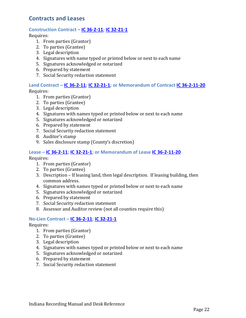## <span id="page-21-0"></span>**Contracts and Leases**

#### **Construction Contract – [IC 36-2-11;](http://iga.in.gov/legislative/laws/2017/ic/titles/036#36-2-11) [IC 32-21-1](http://iga.in.gov/legislative/laws/2017/ic/titles/032#32-21-1)**

Requires:

- 1. From parties (Grantor)
- 2. To parties (Grantee)
- 3. Legal description
- 4. Signatures with name typed or printed below or next to each name
- 5. Signatures acknowledged or notarized
- 6. Prepared by statement
- 7. Social Security redaction statement

#### **Land Contract – [IC 36-2-11;](http://iga.in.gov/legislative/laws/2017/ic/titles/036#36-2-11) [IC 32-21-1;](http://iga.in.gov/legislative/laws/2017/ic/titles/032#32-21-1) or Memorandum of Contract [IC 36-2-11-20](http://iga.in.gov/legislative/laws/2017/ic/titles/036#36-2-11-20)** Requires:

1. From parties (Grantor)

- 2. To parties (Grantee)
- 3. Legal description
- 4. Signatures with names typed or printed below or next to each name
- 5. Signatures acknowledged or notarized
- 6. Prepared by statement
- 7. Social Security redaction statement
- 8. Auditor's stamp
- 9. Sales disclosure stamp (County's discretion)

#### **Lease – [IC 36-2-11;](http://iga.in.gov/legislative/laws/2017/ic/titles/036#36-2-11) [IC 32-21-1;](http://iga.in.gov/legislative/laws/2017/ic/titles/032#32-21-1) or Memorandum of Lease [IC 36-2-11-20](http://iga.in.gov/legislative/laws/2017/ic/titles/036#36-2-11-20)**

Requires:

- 1. From parties (Grantor)
- 2. To parties (Grantee)
- 3. Description If leasing land, then legal description. If leasing building, then common address.
- 4. Signatures with names typed or printed below or next to each name
- 5. Signatures acknowledged or notarized
- 6. Prepared by statement
- 7. Social Security redaction statement
- 8. Assessor and Auditor review (not all counties require this)

#### **No-Lien Contract – [IC 36-2-11;](http://iga.in.gov/legislative/laws/2017/ic/titles/036#36-2-11) [IC 32-21-1](http://iga.in.gov/legislative/laws/2017/ic/titles/032#32-21-1)**

- 1. From parties (Grantor)
- 2. To parties (Grantee)
- 3. Legal description
- 4. Signatures with names typed or printed below or next to each name
- 5. Signatures acknowledged or notarized
- 6. Prepared by statement
- 7. Social Security redaction statement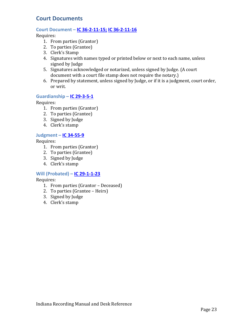## <span id="page-22-0"></span>**Court Documents**

#### **Court Document – [IC 36-2-11-15;](http://iga.in.gov/legislative/laws/2017/ic/titles/036#36-2-11-15) [IC 36-2-11-16](http://iga.in.gov/legislative/laws/2017/ic/titles/036#36-2-11-16)**

Requires:

- 1. From parties (Grantor)
- 2. To parties (Grantee)
- 3. Clerk's Stamp
- 4. Signatures with names typed or printed below or next to each name, unless signed by Judge
- 5. Signatures acknowledged or notarized, unless signed by Judge. (A court document with a court file stamp does not require the notary.)
- 6. Prepared by statement, unless signed by Judge, or if it is a judgment, court order, or writ.

#### **Guardianship – [IC 29-3-5-1](http://iga.in.gov/legislative/laws/2017/ic/titles/029#29-3-5-1)**

Requires:

- 1. From parties (Grantor)
- 2. To parties (Grantee)
- 3. Signed by Judge
- 4. Clerk's stamp

#### **Judgment – [IC 34-55-9](http://iga.in.gov/legislative/laws/2017/ic/titles/034#34-55-9)**

Requires:

- 1. From parties (Grantor)
- 2. To parties (Grantee)
- 3. Signed by Judge
- 4. Clerk's stamp

#### **Will (Probated) – [IC 29-1-1-23](http://iga.in.gov/legislative/laws/2017/ic/titles/029#29-1-1-23)**

- 1. From parties (Grantor Deceased)
- 2. To parties (Grantee Heirs)
- 3. Signed by Judge
- 4. Clerk's stamp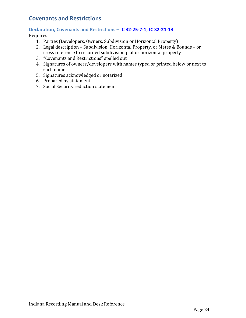## <span id="page-23-0"></span>**Covenants and Restrictions**

#### **Declaration, Covenants and Restrictions – [IC 32-25-7-1;](http://iga.in.gov/legislative/laws/2017/ic/titles/032#32-25-7-1) [IC 32-21-13](http://iga.in.gov/legislative/laws/2017/ic/titles/032#32-21-13)**

- 1. Parties (Developers, Owners, Subdivision or Horizontal Property)
- 2. Legal description Subdivision, Horizontal Property, or Metes & Bounds or cross reference to recorded subdivision plat or horizontal property
- 3. "Covenants and Restrictions" spelled out
- 4. Signatures of owners/developers with names typed or printed below or next to each name
- 5. Signatures acknowledged or notarized
- 6. Prepared by statement
- 7. Social Security redaction statement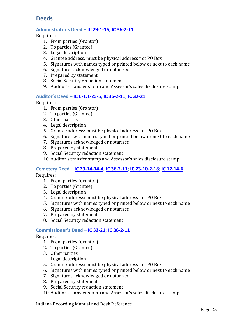## <span id="page-24-0"></span>**Deeds**

#### **Administrator's Deed – [IC 29-1-15,](http://iga.in.gov/legislative/laws/2017/ic/titles/029#29-1-15) [IC 36-2-11](http://iga.in.gov/legislative/laws/2017/ic/titles/036#36-2-11)**

Requires:

- 1. From parties (Grantor)
- 2. To parties (Grantee)
- 3. Legal description
- 4. Grantee address: must be physical address not PO Box
- 5. Signatures with names typed or printed below or next to each name
- 6. Signatures acknowledged or notarized
- 7. Prepared by statement
- 8. Social Security redaction statement
- 9. Auditor's transfer stamp and Assessor's sales disclosure stamp

#### **Auditor's Deed – [IC 6-1.1-25-5,](http://iga.in.gov/legislative/laws/2017/ic/titles/006#6-1.1-25-5) [IC 36-2-11;](http://iga.in.gov/legislative/laws/2017/ic/titles/036#36-2-11) [IC 32-21](http://iga.in.gov/legislative/laws/2017/ic/titles/032#32-21)**

Requires:

- 1. From parties (Grantor)
- 2. To parties (Grantee)
- 3. Other parties
- 4. Legal description
- 5. Grantee address: must be physical address not PO Box
- 6. Signatures with names typed or printed below or next to each name
- 7. Signatures acknowledged or notarized
- 8. Prepared by statement
- 9. Social Security redaction statement
- 10. Auditor's transfer stamp and Assessor's sales disclosure stamp

#### **Cemetery Deed – [IC 23-14-34-4,](http://iga.in.gov/legislative/laws/2017/ic/titles/023#23-14-34-4) IC [36-2-11;](http://iga.in.gov/legislative/laws/2017/ic/titles/036#36-2-11) [IC 23-10-2-18;](http://iga.in.gov/legislative/laws/2017/ic/titles/023#23-10-2-18) [IC 12-14-6](http://iga.in.gov/legislative/laws/2017/ic/titles/012#12-14-6)**

Requires:

- 1. From parties (Grantor)
- 2. To parties (Grantee)
- 3. Legal description
- 4. Grantee address: must be physical address not PO Box
- 5. Signatures with names typed or printed below or next to each name
- 6. Signatures acknowledged or notarized
- 7. Prepared by statement
- 8. Social Security redaction statement

#### **Commissioner's Deed – [IC 32-21;](http://iga.in.gov/legislative/laws/2017/ic/titles/032#32-21) [IC 36-2-11](http://iga.in.gov/legislative/laws/2017/ic/titles/036#36-2-11)**

- 1. From parties (Grantor)
- 2. To parties (Grantee)
- 3. Other parties
- 4. Legal description
- 5. Grantee address: must be physical address not PO Box
- 6. Signatures with names typed or printed below or next to each name
- 7. Signatures acknowledged or notarized
- 8. Prepared by statement
- 9. Social Security redaction statement
- 10. Auditor's transfer stamp and Assessor's sales disclosure stamp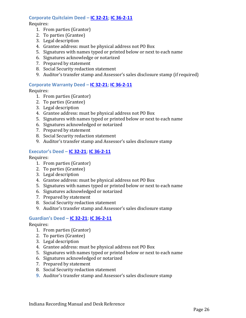#### **Corporate Quitclaim Deed – [IC 32-21;](http://iga.in.gov/legislative/laws/2017/ic/titles/032#32-21) [IC 36-2-11](http://iga.in.gov/legislative/laws/2017/ic/titles/036#36-2-11)**

#### Requires:

- 1. From parties (Grantor)
- 2. To parties (Grantee)
- 3. Legal description
- 4. Grantee address: must be physical address not PO Box
- 5. Signatures with names typed or printed below or next to each name
- 6. Signatures acknowledge or notarized
- 7. Prepared by statement
- 8. Social Security redaction statement
- 9. Auditor's transfer stamp and Assessor's sales disclosure stamp (if required)

#### **Corporate Warranty Deed – [IC 32-21;](http://iga.in.gov/legislative/laws/2017/ic/titles/032#32-21) [IC 36-2-11](http://iga.in.gov/legislative/laws/2017/ic/titles/036#36-2-11)**

Requires:

- 1. From parties (Grantor)
- 2. To parties (Grantee)
- 3. Legal description
- 4. Grantee address: must be physical address not PO Box
- 5. Signatures with names typed or printed below or next to each name
- 6. Signatures acknowledged or notarized
- 7. Prepared by statement
- 8. Social Security redaction statement
- 9. Auditor's transfer stamp and Assessor's sales disclosure stamp

#### **Executor's Deed – [IC 32-21;](http://iga.in.gov/legislative/laws/2017/ic/titles/032#32-21) [IC 36-2-11](http://iga.in.gov/legislative/laws/2017/ic/titles/036#36-2-11)**

Requires:

- 1. From parties (Grantor)
- 2. To parties (Grantee)
- 3. Legal description
- 4. Grantee address: must be physical address not PO Box
- 5. Signatures with names typed or printed below or next to each name
- 6. Signatures acknowledged or notarized
- 7. Prepared by statement
- 8. Social Security redaction statement
- 9. Auditor's transfer stamp and Assessor's sales disclosure stamp

#### **Guardian's Deed – [IC 32-21;](http://iga.in.gov/legislative/laws/2017/ic/titles/032#32-21) [IC 36-2-11](http://iga.in.gov/legislative/laws/2017/ic/titles/036#36-2-11)**

- 1. From parties (Grantor)
- 2. To parties (Grantee)
- 3. Legal description
- 4. Grantee address: must be physical address not PO Box
- 5. Signatures with names typed or printed below or next to each name
- 6. Signatures acknowledged or notarized
- 7. Prepared by statement
- 8. Social Security redaction statement
- **9.** Auditor's transfer stamp and Assessor's sales disclosure stamp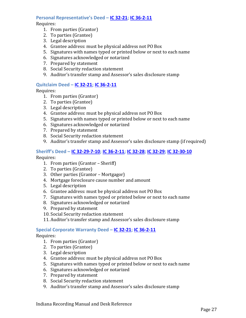#### **Personal Representative's Deed – [IC 32-21;](http://iga.in.gov/legislative/laws/2017/ic/titles/032#32-21) [IC 36-2-11](http://iga.in.gov/legislative/laws/2017/ic/titles/036#36-2-11)**

#### Requires:

- 1. From parties (Grantor)
- 2. To parties (Grantee)
- 3. Legal description
- 4. Grantee address: must be physical address not PO Box
- 5. Signatures with names typed or printed below or next to each name
- 6. Signatures acknowledged or notarized
- 7. Prepared by statement
- 8. Social Security redaction statement
- 9. Auditor's transfer stamp and Assessor's sales disclosure stamp

#### **Quitclaim Deed – [IC 32-21;](http://iga.in.gov/legislative/laws/2017/ic/titles/032#32-21) [IC 36-2-11](http://iga.in.gov/legislative/laws/2017/ic/titles/036#36-2-11)**

Requires:

- 1. From parties (Grantor)
- 2. To parties (Grantee)
- 3. Legal description
- 4. Grantee address: must be physical address not PO Box
- 5. Signatures with names typed or printed below or next to each name
- 6. Signatures acknowledged or notarized
- 7. Prepared by statement
- 8. Social Security redaction statement
- 9. Auditor's transfer stamp and Assessor's sales disclosure stamp (if required)

#### **Sheriff's Deed – [IC 32-29-7-10;](http://iga.in.gov/legislative/laws/2017/ic/titles/032#32-29-7-10) [IC 36-2-11;](http://iga.in.gov/legislative/laws/2017/ic/titles/036#36-2-11) [IC 32-28;](http://iga.in.gov/legislative/laws/2017/ic/titles/032#32-28) [IC 32-29;](http://iga.in.gov/legislative/laws/2017/ic/titles/032#32-29) [IC 32-30-10](http://iga.in.gov/legislative/laws/2017/ic/titles/032#32-30-10)**

Requires:

- 1. From parties (Grantor Sheriff)
- 2. To parties (Grantee)
- 3. Other parties (Grantor Mortgagor)
- 4. Mortgage foreclosure cause number and amount
- 5. Legal description
- 6. Grantee address: must be physical address not PO Box
- 7. Signatures with names typed or printed below or next to each name
- 8. Signatures acknowledged or notarized
- 9. Prepared by statement
- 10. Social Security redaction statement
- 11. Auditor's transfer stamp and Assessor's sales disclosure stamp

#### **Special Corporate Warranty Deed – [IC 32-21;](http://iga.in.gov/legislative/laws/2017/ic/titles/032#32-21) [IC 36-2-11](http://iga.in.gov/legislative/laws/2017/ic/titles/036#36-2-11)**

- 1. From parties (Grantor)
- 2. To parties (Grantee)
- 3. Legal description
- 4. Grantee address: must be physical address not PO Box
- 5. Signatures with names typed or printed below or next to each name
- 6. Signatures acknowledged or notarized
- 7. Prepared by statement
- 8. Social Security redaction statement
- 9. Auditor's transfer stamp and Assessor's sales disclosure stamp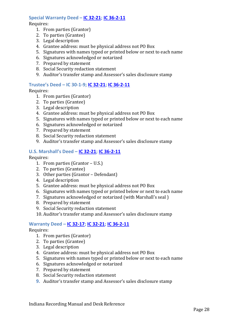#### **Special Warranty Deed – [IC 32-21;](http://iga.in.gov/legislative/laws/2017/ic/titles/032#32-21) [IC 36-2-11](http://iga.in.gov/legislative/laws/2017/ic/titles/036#36-2-11)**

Requires:

- 1. From parties (Grantor)
- 2. To parties (Grantee)
- 3. Legal description
- 4. Grantee address: must be physical address not PO Box
- 5. Signatures with names typed or printed below or next to each name
- 6. Signatures acknowledged or notarized
- 7. Prepared by statement
- 8. Social Security redaction statement
- 9. Auditor's transfer stamp and Assessor's sales disclosure stamp

#### **Trustee's Deed – IC 30-1-9; IC [32-21;](http://iga.in.gov/legislative/laws/2017/ic/titles/032#32-21) [IC 36-2-11](http://iga.in.gov/legislative/laws/2017/ic/titles/036#36-2-11)**

Requires:

- 1. From parties (Grantor)
- 2. To parties (Grantee)
- 3. Legal description
- 4. Grantee address: must be physical address not PO Box
- 5. Signatures with names typed or printed below or next to each name
- 6. Signatures acknowledged or notarized
- 7. Prepared by statement
- 8. Social Security redaction statement
- 9. Auditor's transfer stamp and Assessor's sales disclosure stamp

#### **U.S. Marshall's Deed – [IC 32-21;](http://iga.in.gov/legislative/laws/2017/ic/titles/032#32-21) [IC 36-2-11](http://iga.in.gov/legislative/laws/2017/ic/titles/036#36-2-11)**

Requires:

- 1. From parties (Grantor U.S.)
- 2. To parties (Grantee)
- 3. Other parties (Grantor Defendant)
- 4. Legal description
- 5. Grantee address: must be physical address not PO Box
- 6. Signatures with names typed or printed below or next to each name
- 7. Signatures acknowledged or notarized (with Marshall's seal )
- 8. Prepared by statement
- 9. Social Security redaction statement
- 10. Auditor's transfer stamp and Assessor's sales disclosure stamp

#### **Warranty Deed – [IC 32-17;](http://iga.in.gov/legislative/laws/2017/ic/titles/032#32-17) [IC 32-21;](http://iga.in.gov/legislative/laws/2017/ic/titles/032#32-21) [IC 36-2-11](http://iga.in.gov/legislative/laws/2017/ic/titles/036#36-2-11)**

- 1. From parties (Grantor)
- 2. To parties (Grantee)
- 3. Legal description
- 4. Grantee address: must be physical address not PO Box
- 5. Signatures with names typed or printed below or next to each name
- 6. Signatures acknowledged or notarized
- 7. Prepared by statement
- 8. Social Security redaction statement
- **9.** Auditor's transfer stamp and Assessor's sales disclosure stamp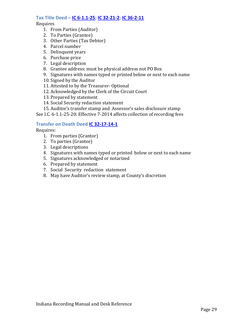#### **Tax Title Deed – [IC 6-1.1-25;](http://iga.in.gov/legislative/laws/2017/ic/titles/006#6-1.1-25) [IC 32-21-2;](http://iga.in.gov/legislative/laws/2017/ic/titles/032#32-21-2) [IC 36-2-11](http://iga.in.gov/legislative/laws/2017/ic/titles/036#36-2-11)**

Requires

- 1. From Parties (Auditor)
- 2. To Parties (Grantee)
- 3. Other Parties (Tax Debtor)
- 4. Parcel number
- 5. Delinquent years
- 6. Purchase price
- 7. Legal description
- 8. Grantee address: must be physical address not PO Box
- 9. Signatures with names typed or printed below or next to each name
- 10. Signed by the Auditor
- 11. Attested to by the Treasurer- Optional
- 12. Acknowledged by the Clerk of the Circuit Court
- 13. Prepared by statement
- 14. Social Security redaction statement
- 15. Auditor's transfer stamp and Assessor's sales disclosure stamp

See I.C. 6-1.1-25-20: Effective 7-2014 affects collection of recording fees

#### **Transfer on Death Deed [IC 32-17-14-1](http://iga.in.gov/legislative/laws/2017/ic/titles/032#32-17-14-1)**

- 1. From parties (Grantor)
- 2. To parties (Grantee)
- 3. Legal descriptions
- 4. Signatures with names typed or printed below or next to each name
- 5. Signatures acknowledged or notarized
- 6. Prepared by statement
- 7. Social Security redaction statement
- 8. May have Auditor's review stamp, at County's discretion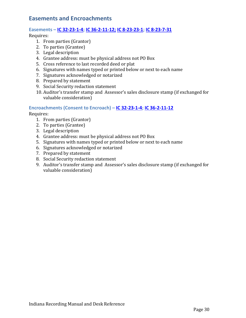### <span id="page-29-0"></span>**Easements and Encroachments**

#### **Easements – [IC 32-23-1-4;](http://iga.in.gov/legislative/laws/2017/ic/titles/032#32-23-1-4) [IC 36-2-11-12;](http://iga.in.gov/legislative/laws/2017/ic/titles/036#36-2-11-12) [IC 8-23-23-1;](http://iga.in.gov/legislative/laws/2017/ic/titles/008#8-23-23-1) [IC 8-23-7-31](http://iga.in.gov/legislative/laws/2017/ic/titles/008#8-23-7-31)**

Requires:

- 1. From parties (Grantor)
- 2. To parties (Grantee)
- 3. Legal description
- 4. Grantee address: must be physical address not PO Box
- 5. Cross reference to last recorded deed or plat
- 6. Signatures with names typed or printed below or next to each name
- 7. Signatures acknowledged or notarized
- 8. Prepared by statement
- 9. Social Security redaction statement
- 10. Auditor's transfer stamp and Assessor's sales disclosure stamp (if exchanged for valuable consideration)

#### **Encroachments (Consent to Encroach) – [IC 32-23-1-4;](http://iga.in.gov/legislative/laws/2017/ic/titles/032#32-23-1-4) [IC 36-2-11-12](http://iga.in.gov/legislative/laws/2017/ic/titles/036#36-2-11-12)**

- 1. From parties (Grantor)
- 2. To parties (Grantee)
- 3. Legal description
- 4. Grantee address: must be physical address not PO Box
- 5. Signatures with names typed or printed below or next to each name
- 6. Signatures acknowledged or notarized
- 7. Prepared by statement
- 8. Social Security redaction statement
- 9. Auditor's transfer stamp and Assessor's sales disclosure stamp (if exchanged for valuable consideration)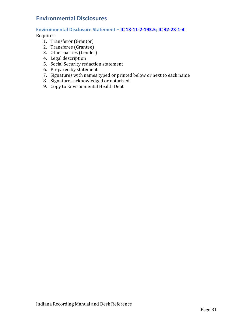## <span id="page-30-0"></span>**Environmental Disclosures**

#### **Environmental Disclosure Statement – [IC 13-11-2-193.5;](http://iga.in.gov/legislative/laws/2017/ic/titles/013#13-11-2-193.5) [IC 32-23-1-4](http://iga.in.gov/legislative/laws/2017/ic/titles/032#32-23-1-4)**

- 1. Transferor (Grantor)
- 2. Transferee (Grantee)
- 3. Other parties (Lender)
- 4. Legal description
- 5. Social Security redaction statement
- 6. Prepared by statement
- 7. Signatures with names typed or printed below or next to each name
- 8. Signatures acknowledged or notarized
- 9. Copy to Environmental Health Dept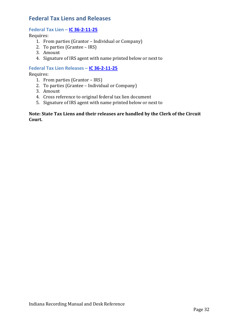## <span id="page-31-0"></span>**Federal Tax Liens and Releases**

#### **Federal Tax Lien – [IC 36-2-11-25](http://iga.in.gov/legislative/laws/2017/ic/titles/036#36-2-11-25)**

Requires:

- 1. From parties (Grantor Individual or Company)
- 2. To parties (Grantee IRS)
- 3. Amount
- 4. Signature of IRS agent with name printed below or next to

#### **Federal Tax Lien Releases – [IC 36-2-11-25](http://iga.in.gov/legislative/laws/2017/ic/titles/036#36-2-11-25)**

Requires:

- 1. From parties (Grantor IRS)
- 2. To parties (Grantee Individual or Company)
- 3. Amount
- 4. Cross reference to original federal tax lien document
- 5. Signature of IRS agent with name printed below or next to

#### **Note: State Tax Liens and their releases are handled by the Clerk of the Circuit Court.**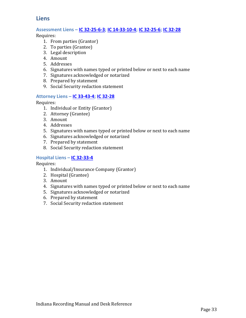## <span id="page-32-0"></span>**Liens**

#### **Assessment Liens – [IC 32-25-6-3;](http://iga.in.gov/legislative/laws/2017/ic/titles/032#32-25-6-3) [IC 14-33-10-4;](http://iga.in.gov/legislative/laws/2017/ic/titles/014#14-33-10-4) [IC 32-25-6;](http://iga.in.gov/legislative/laws/2017/ic/titles/032#32-25-6) [IC 32-28](http://iga.in.gov/legislative/laws/2017/ic/titles/032#32-28)**

Requires:

- 1. From parties (Grantor)
- 2. To parties (Grantee)
- 3. Legal description
- 4. Amount
- 5. Addresses
- 6. Signatures with names typed or printed below or next to each name
- 7. Signatures acknowledged or notarized
- 8. Prepared by statement
- 9. Social Security redaction statement

#### **Attorney Liens – [IC 33-43-4;](http://iga.in.gov/legislative/laws/2017/ic/titles/033#33-43-4) [IC 32-28](http://iga.in.gov/legislative/laws/2017/ic/titles/032#32-28)**

Requires:

- 1. Individual or Entity (Grantor)
- 2. Attorney (Grantee)
- 3. Amount
- 4. Addresses
- 5. Signatures with names typed or printed below or next to each name
- 6. Signatures acknowledged or notarized
- 7. Prepared by statement
- 8. Social Security redaction statement

#### **Hospital Liens – [IC 32-33-4](http://iga.in.gov/legislative/laws/2017/ic/titles/032#32-33-4)**

- 1. Individual/Insurance Company (Grantor)
- 2. Hospital (Grantee)
- 3. Amount
- 4. Signatures with names typed or printed below or next to each name
- 5. Signatures acknowledged or notarized
- 6. Prepared by statement
- 7. Social Security redaction statement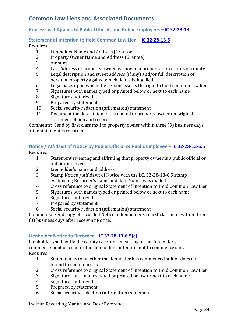## <span id="page-33-0"></span>**Common Law Liens and Associated Documents**

#### **Process as it Applies to Public Officials and Public Employees – [IC 32-28-13](http://iga.in.gov/legislative/laws/2017/ic/titles/032#32-28-13)**

#### **Statement of Intention to Hold Common Law Lien – IC [32-28-13-5](http://iga.in.gov/legislative/laws/2017/ic/titles/032#32-28-13-5)**

## Requires:<br>1.

- 1. Lienholder Name and Address (Grantor)<br>2. Property Owner Name and Address (Gran
- 2. Property Owner Name and Address (Grantee)<br>3. Amount
- 3. Amount<br>4. Last Add
- 4. Last Address of property owner as shown in property tax records of county<br>5. Legal description and street address (if any) and/or full description of
- Legal description and street address (if any) and/or full description of personal property against which lien is being filed
- 6. Legal basis upon which the person asserts the right to hold common law lien<br>7. Signatures with names typed or printed below or next to each name
- 7. Signatures with names typed or printed below or next to each name<br>8. Signatures notarized
- 8. Signatures notarized<br>9. Prepared by statemer
- 9. Prepared by statement<br>10. Social security redaction
- 10. Social security redaction (affirmation) statement<br>11. Document the date statement is mailed to propert
- Document the date statement is mailed to property owner on original statement of lien and record

Comments: Send by first class mail to property owner within three (3) business days after statement is recorded.

## **Notice / Affidavit of Notice by Public Official or Public Employee – [IC 32-28-13-6.5](http://iga.in.gov/legislative/laws/2017/ic/titles/032#32-28-13-6.5)**

Requires:<br>1.

- 1. Statement swearing and affirming that property owner is a public official or public employee
- 2. Lienholder's name and address<br>3. Stamp Notice / Affidavit of Notic
- Stamp Notice / Affidavit of Notice with the I.C. 32-28-13-6.5 stamp evidencing Recorder's name and date Notice was mailed
- 4. Cross reference to original Statement of Intention to Hold Common Law Lien<br>5. Signatures with names typed or printed below or next to each name
- 5. Signatures with names typed or printed below or next to each name<br>6. Signatures notarized
- 6. Signatures notarized<br>7. Prepared by statemer
- 7. Prepared by statement<br>8. Social security redaction
- Social security redaction (affirmation) statement

Comments: Send copy of recorded Notice to lienholder via first class mail within three (3) business days after receiving Notice.

#### **Lienholder Notice to Recorder – [IC 32-28-13-6.5\(c\)](http://iga.in.gov/legislative/laws/2017/ic/titles/032#32-28-13-6.5)**

Lienholder shall notify the county recorder in writing of the lienholder's commencement of a suit or the lienholder's intention not to commence suit. Requires:<br>1.

- Statement as to whether the lienholder has commenced suit or does not intend to commence suit
- 2. Cross reference to original Statement of Intention to Hold Common Law Lien<br>3. Signatures with names typed or printed below or next to each name
- 3. Signatures with names typed or printed below or next to each name<br>4. Signatures notarized
- 4. Signatures notarized<br>5. Prepared by statemer
- Prepared by statement
- 6. Social security redaction (affirmation) statement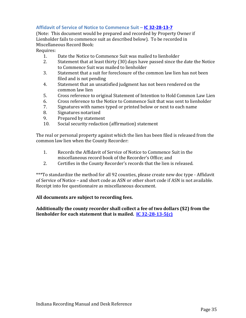#### **Affidavit of Service of Notice to Commence Suit – [IC 32-28-13-7](http://iga.in.gov/legislative/laws/2017/ic/titles/032#32-28-13-7)**

(Note: This document would be prepared and recorded by Property Owner if Lienholder fails to commence suit as described below). To be recorded in Miscellaneous Record Book:

Requires:

- 1. Date the Notice to Commence Suit was mailed to lienholder<br>2. Statement that at least thirty (30) days have passed since the
- Statement that at least thirty (30) days have passed since the date the Notice to Commence Suit was mailed to lienholder
- 3. Statement that a suit for foreclosure of the common law lien has not been filed and is not pending
- 4. Statement that an unsatisfied judgment has not been rendered on the common law lien
- 5. Cross reference to original Statement of Intention to Hold Common Law Lien<br>6. Cross reference to the Notice to Commence Suit that was sent to lienholder
- 6. Cross reference to the Notice to Commence Suit that was sent to lienholder<br>7. Signatures with names typed or printed below or next to each name
- 7. Signatures with names typed or printed below or next to each name<br>8. Signatures notarized
- 8. Signatures notarized<br>9. Prepared by statemer
- 9. Prepared by statement<br>10. Social security redactio
- Social security redaction (affirmation) statement

The real or personal property against which the lien has been filed is released from the common law lien when the County Recorder:

- 1. Records the Affidavit of Service of Notice to Commence Suit in the miscellaneous record book of the Recorder's Office; and
- 2. Certifies in the County Recorder's records that the lien is released.

\*\*\*To standardize the method for all 92 counties, please create new doc type - Affidavit of Service of Notice – and short code as ASN or other short code if ASN is not available. Receipt into fee questionnaire as miscellaneous document.

#### **All documents are subject to recording fees.**

**Additionally the county recorder shall collect a fee of two dollars (\$2) from the lienholder for each statement that is mailed. [IC 32-28-13-5\(c\)](http://iga.in.gov/legislative/laws/2017/ic/titles/032#32-28-13-5)**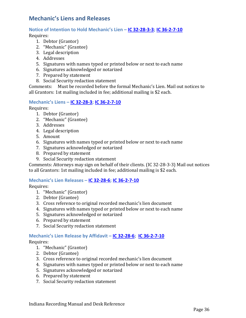## <span id="page-35-0"></span>**Mechanic's Liens and Releases**

#### **Notice of Intention to Hold Mechanic's Lien – [IC 32-28-3-3;](http://iga.in.gov/legislative/laws/2017/ic/titles/032#32-28-3-3) [IC 36-2-7-10](http://iga.in.gov/legislative/laws/2017/ic/titles/036#36-2-7-10)**

Requires:

- 1. Debtor (Grantor)
- 2. "Mechanic" (Grantee)
- 3. Legal description
- 4. Addresses
- 5. Signatures with names typed or printed below or next to each name
- 6. Signatures acknowledged or notarized
- 7. Prepared by statement
- 8. Social Security redaction statement

Comments: Must be recorded before the formal Mechanic's Lien. Mail out notices to all Grantors: 1st mailing included in fee; additional mailing is \$2 each.

#### **Mechanic's Liens – [IC 32-28-3;](http://iga.in.gov/legislative/laws/2017/ic/titles/032#32-28-3) [IC 36-2-7-10](http://iga.in.gov/legislative/laws/2017/ic/titles/036#36-2-7-10)**

Requires:

- 1. Debtor (Grantor)
- 2. "Mechanic" (Grantee)
- 3. Addresses
- 4. Legal description
- 5. Amount
- 6. Signatures with names typed or printed below or next to each name
- 7. Signatures acknowledged or notarized
- 8. Prepared by statement
- 9. Social Security redaction statement

Comments: Attorneys may sign on behalf of their clients. (IC 32-28-3-3) Mail out notices to all Grantors: 1st mailing included in fee; additional mailing is \$2 each.

#### **Mechanic's Lien Releases – [IC 32-28-6;](http://iga.in.gov/legislative/laws/2017/ic/titles/032#32-28-6) [IC 36-2-7-10](http://iga.in.gov/legislative/laws/2017/ic/titles/036#36-2-7-10)**

Requires:

- 1. "Mechanic" (Grantor)
- 2. Debtor (Grantee)
- 3. Cross reference to original recorded mechanic's lien document
- 4. Signatures with names typed or printed below or next to each name
- 5. Signatures acknowledged or notarized
- 6. Prepared by statement
- 7. Social Security redaction statement

#### **Mechanic's Lien Release by Affidavit – [IC 32-28-6;](http://iga.in.gov/legislative/laws/2017/ic/titles/032#32-28-6) [IC 36-2-7-10](http://iga.in.gov/legislative/laws/2017/ic/titles/036#36-2-7-10)**

- 1. "Mechanic" (Grantor)
- 2. Debtor (Grantee)
- 3. Cross reference to original recorded mechanic's lien document
- 4. Signatures with names typed or printed below or next to each name
- 5. Signatures acknowledged or notarized
- 6. Prepared by statement
- 7. Social Security redaction statement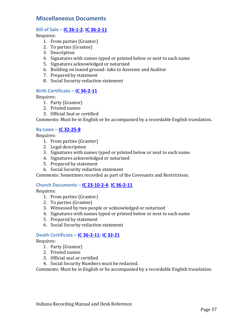### <span id="page-36-0"></span>**Miscellaneous Documents**

#### **Bill of Sale – [IC 26-1-2;](http://iga.in.gov/legislative/laws/2017/ic/titles/026#26-1-2) [IC 36-2-11](http://iga.in.gov/legislative/laws/2017/ic/titles/036#36-2-11)**

Requires:

- 1. From parties (Grantor)
- 2. To parties (Grantee)
- 3. Description
- 4. Signatures with names typed or printed below or next to each name
- 5. Signatures acknowledged or notarized
- 6. Building on leased ground- take to Assessor and Auditor
- 7. Prepared by statement
- 8. Social Security redaction statement

#### **Birth Certificate – [IC 36-2-11](http://iga.in.gov/legislative/laws/2017/ic/titles/036#36-2-11)**

Requires:

- 1. Party (Grantor)
- 2. Printed names
- 3. Official Seal or certified

Comments: Must be in English or be accompanied by a recordable English translation.

#### **By-Laws – [IC 32-25-8](http://iga.in.gov/legislative/laws/2017/ic/titles/032#32-25-8)**

Requires:

- 1. From parties (Grantor)
- 2. Legal description
- 3. Signatures with names typed or printed below or next to each name
- 4. Signatures acknowledged or notarized
- 5. Prepared by statement
- 6. Social Security redaction statement

Comments: Sometimes recorded as part of the Covenants and Restrictions.

#### **Church Documents – [IC 23-10-2-4;](http://iga.in.gov/legislative/laws/2017/ic/titles/023#23-10-2-4) [IC 36-2-11](http://iga.in.gov/legislative/laws/2017/ic/titles/036#36-2-11)**

Requires:

- 1. From parties (Grantor)
- 2. To parties (Grantee)
- 3. Witnessed by two people or acknowledged or notarized
- 4. Signatures with names typed or printed below or next to each name
- 5. Prepared by statement
- 6. Social Security redaction statement

#### **Death Certificate – [IC 36-2-11;](http://iga.in.gov/legislative/laws/2017/ic/titles/036#36-2-11) [IC 32-21](http://iga.in.gov/legislative/laws/2017/ic/titles/032#32-21)**

Requires:

- 1. Party (Grantor)
- 2. Printed names
- 3. Official seal or certified
- 4. Social Security Numbers must be redacted.

Comments: Must be in English or be accompanied by a recordable English translation.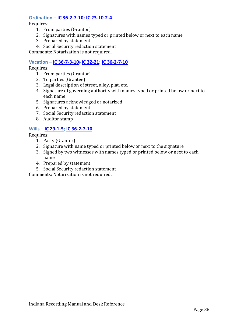#### **Ordination – [IC 36-2-7-10;](http://iga.in.gov/legislative/laws/2017/ic/titles/036#36-2-7-10) [IC 23-10-2-4](http://iga.in.gov/legislative/laws/2017/ic/titles/023#23-10-2-4)**

Requires:

- 1. From parties (Grantor)
- 2. Signatures with names typed or printed below or next to each name
- 3. Prepared by statement
- 4. Social Security redaction statement

Comments: Notarization is not required.

#### **Vacation – [IC 36-7-3-10;](http://iga.in.gov/legislative/laws/2017/ic/titles/036#36-7-3-10) [IC 32-21;](http://iga.in.gov/legislative/laws/2017/ic/titles/032#32-21) [IC 36-2-7-10](http://iga.in.gov/legislative/laws/2017/ic/titles/036#36-2-7-10)**

Requires:

- 1. From parties (Grantor)
- 2. To parties (Grantee)
- 3. Legal description of street, alley, plat, etc.
- 4. Signature of governing authority with names typed or printed below or next to each name
- 5. Signatures acknowledged or notarized
- 6. Prepared by statement
- 7. Social Security redaction statement
- 8. Auditor stamp

#### **Wills – [IC 29-1-5;](http://iga.in.gov/legislative/laws/2017/ic/titles/029#29-1-5) [IC 36-2-7-10](http://iga.in.gov/legislative/laws/2017/ic/titles/036#36-2-7-10)**

Requires:

- 1. Party (Grantor)
- 2. Signature with name typed or printed below or next to the signature
- 3. Signed by two witnesses with names typed or printed below or next to each name
- 4. Prepared by statement
- 5. Social Security redaction statement

Comments: Notarization is not required.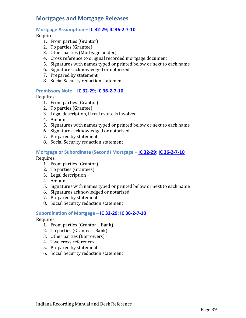## <span id="page-38-0"></span>**Mortgages and Mortgage Releases**

#### **Mortgage Assumption – [IC 32-29;](http://iga.in.gov/legislative/laws/2017/ic/titles/032#32-29) [IC 36-2-7-10](http://iga.in.gov/legislative/laws/2017/ic/titles/036#36-2-7-10)**

Requires:

- 1. From parties (Grantor)
- 2. To parties (Grantee)
- 3. Other parties (Mortgage holder)
- 4. Cross reference to original recorded mortgage document
- 5. Signatures with names typed or printed below or next to each name
- 6. Signatures acknowledged or notarized
- 7. Prepared by statement
- 8. Social Security redaction statement

#### **Promissory Note – [IC 32-29;](http://iga.in.gov/legislative/laws/2017/ic/titles/032#32-29) [IC 36-2-7-10](http://iga.in.gov/legislative/laws/2017/ic/titles/036#36-2-7-10)**

Requires:

- 1. From parties (Grantor)
- 2. To parties (Grantee)
- 3. Legal description, if real estate is involved
- 4. Amount
- 5. Signatures with names typed or printed below or next to each name
- 6. Signatures acknowledged or notarized
- 7. Prepared by statement
- 8. Social Security redaction statement

## **Mortgage or Subordinate (Second) Mortgage – [IC 32-29;](http://iga.in.gov/legislative/laws/2017/ic/titles/032#32-29) [IC 36-2-7-10](http://iga.in.gov/legislative/laws/2017/ic/titles/036#36-2-7-10)**

Requires:

- 1. From parties (Grantor)
- 2. To parties (Grantees)
- 3. Legal description
- 4. Amount
- 5. Signatures with names typed or printed below or next to each name
- 6. Signatures acknowledged or notarized
- 7. Prepared by statement
- 8. Social Security redaction statement

#### **Subordination of Mortgage – [IC 32-29;](http://iga.in.gov/legislative/laws/2017/ic/titles/032#32-29) [IC 36-2-7-10](http://iga.in.gov/legislative/laws/2017/ic/titles/036#36-2-7-10)**

- 1. From parties (Grantor Bank)
- 2. To parties (Grantee Bank)
- 3. Other parties (Borrowers)
- 4. Two cross references
- 5. Prepared by statement
- 6. Social Security redaction statement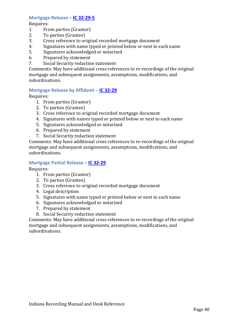#### **Mortgage Release – [IC 32-29-5](http://iga.in.gov/legislative/laws/2017/ic/titles/032#32-29-5)**

Requires:<br>1. Frc

- 1. From parties (Grantor)<br>2. To parties (Grantee)
- 2. To parties (Grantee)<br>3. Cross reference to or
- 3. Cross reference to original recorded mortgage document<br>4. Signatures with name typed or printed below or next to e
- 4. Signatures with name typed or printed below or next to each name<br>5. Signatures acknowledged or notarized
- 5. Signatures acknowledged or notarized<br>6. Prepared by statement
- 6. Prepared by statement<br>7. Social Security redactio
- Social Security redaction statement

Comments: May have additional cross references to re-recordings of the original mortgage and subsequent assignments, assumptions, modifications, and subordinations.

#### **Mortgage Release by Affidavit – [IC 32-29](http://iga.in.gov/legislative/laws/2017/ic/titles/032#32-29)**

Requires:

- 1. From parties (Grantor)
- 2. To parties (Grantee)
- 3. Cross reference to original recorded mortgage document
- 4. Signatures with names typed or printed below or next to each name
- 5. Signatures acknowledged or notarized
- 6. Prepared by statement
- 7. Social Security redaction statement

Comments: May have additional cross references to re-recordings of the original mortgage and subsequent assignments, assumptions, modifications, and subordinations.

#### **Mortgage Partial Release – [IC 32-29](http://iga.in.gov/legislative/laws/2017/ic/titles/032#32-29)**

Requires:

- 1. From parties (Grantor)
- 2. To parties (Grantee)
- 3. Cross reference to original recorded mortgage document
- 4. Legal description
- 5. Signatures with name typed or printed below or next to each name
- 6. Signatures acknowledged or notarized
- 7. Prepared by statement
- 8. Social Security redaction statement

Comments: May have additional cross references to re-recordings of the original mortgage and subsequent assignments, assumptions, modifications, and subordinations.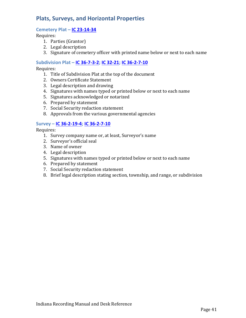## <span id="page-40-0"></span>**Plats, Surveys, and Horizontal Properties**

#### **Cemetery Plat – [IC 23-14-34](http://iga.in.gov/legislative/laws/2017/ic/titles/023#23-14-34)**

Requires:

- 1. Parties (Grantor)
- 2. Legal description
- 3. Signature of cemetery officer with printed name below or next to each name

#### **Subdivision Plat – [IC 36-7-3-2;](http://iga.in.gov/legislative/laws/2017/ic/titles/036#36-7-3-2) [IC 32-21;](http://iga.in.gov/legislative/laws/2017/ic/titles/032#32-21) [IC 36-2-7-10](http://iga.in.gov/legislative/laws/2017/ic/titles/036#36-2-7-10)**

Requires:

- 1. Title of Subdivision Plat at the top of the document
- 2. Owners Certificate Statement
- 3. Legal description and drawing
- 4. Signatures with names typed or printed below or next to each name
- 5. Signatures acknowledged or notarized
- 6. Prepared by statement
- 7. Social Security redaction statement
- 8. Approvals from the various governmental agencies

#### **Survey – [IC 36-2-19-4;](http://iga.in.gov/legislative/laws/2017/ic/titles/036#36-2-19-4) [IC 36-2-7-10](http://iga.in.gov/legislative/laws/2017/ic/titles/036#36-2-7-10)**

- 1. Survey company name or, at least, Surveyor's name
- 2. Surveyor's official seal
- 3. Name of owner
- 4. Legal description
- 5. Signatures with names typed or printed below or next to each name
- 6. Prepared by statement
- 7. Social Security redaction statement
- 8. Brief legal description stating section, township, and range, or subdivision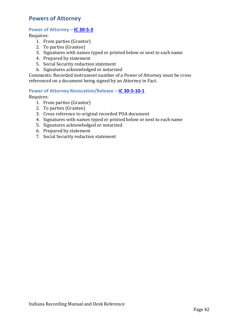## <span id="page-41-0"></span>**Powers of Attorney**

#### **Power of Attorney – [IC 30-5-3](http://iga.in.gov/legislative/laws/2017/ic/titles/030#30-5-3)**

Requires:

- 1. From parties (Grantor)
- 2. To parties (Grantee)
- 3. Signatures with names typed or printed below or next to each name
- 4. Prepared by statement
- 5. Social Security redaction statement
- 6. Signatures acknowledged or notarized

Comments: Recorded instrument number of a Power of Attorney must be cross referenced on a document being signed by an Attorney in Fact.

#### **Power of Attorney Revocation/Release – [IC 30-5-10-1](http://iga.in.gov/legislative/laws/2017/ic/titles/030#30-5-10-1)**

- 1. From parties (Grantor)
- 2. To parties (Grantee)
- 3. Cross reference to original recorded POA document
- 4. Signatures with names typed or printed below or next to each name
- 5. Signatures acknowledged or notarized
- 6. Prepared by statement
- 7. Social Security redaction statement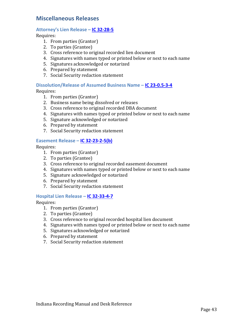### <span id="page-42-0"></span>**Miscellaneous Releases**

#### **Attorney's Lien Release – [IC 32-28-5](http://iga.in.gov/legislative/laws/2017/ic/titles/032#32-28-5)**

Requires:

- 1. From parties (Grantor)
- 2. To parties (Grantee)
- 3. Cross reference to original recorded lien document
- 4. Signatures with names typed or printed below or next to each name
- 5. Signatures acknowledged or notarized
- 6. Prepared by statement
- 7. Social Security redaction statement

#### **Dissolution/Release of Assumed Business Name – [IC 23-0.5-3-4](http://iga.in.gov/legislative/laws/2017/ic/titles/023#23-0.5-3-4)**

Requires:

- 1. From parties (Grantor)
- 2. Business name being dissolved or releases
- 3. Cross reference to original recorded DBA document
- 4. Signatures with names typed or printed below or next to each name
- 5. Signature acknowledged or notarized
- 6. Prepared by statement
- 7. Social Security redaction statement

#### **Easement Release – [IC 32-23-2-5\(b\)](http://iga.in.gov/legislative/laws/2017/ic/titles/032#32-23-2-5)**

Requires:

- 1. From parties (Grantor)
- 2. To parties (Grantee)
- 3. Cross reference to original recorded easement document
- 4. Signatures with names typed or printed below or next to each name
- 5. Signature acknowledged or notarized
- 6. Prepared by statement
- 7. Social Security redaction statement

#### **Hospital Lien Release – [IC 32-33-4-7](http://iga.in.gov/legislative/laws/2017/ic/titles/032#32-33-4-7)**

- 1. From parties (Grantor)
- 2. To parties (Grantee)
- 3. Cross reference to original recorded hospital lien document
- 4. Signatures with names typed or printed below or next to each name
- 5. Signatures acknowledged or notarized
- 6. Prepared by statement
- 7. Social Security redaction statement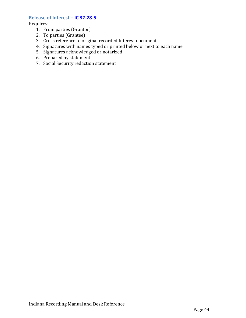#### **Release of Interest – [IC 32-28-5](http://iga.in.gov/legislative/laws/2017/ic/titles/032#32-28-5)**

- 1. From parties (Grantor)
- 2. To parties (Grantee)
- 3. Cross reference to original recorded Interest document
- 4. Signatures with names typed or printed below or next to each name
- 5. Signatures acknowledged or notarized
- 6. Prepared by statement
- <span id="page-43-0"></span>7. Social Security redaction statement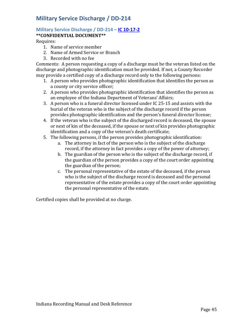## **Military Service Discharge / DD-214**

#### **Military Service Discharge / DD-214 – [IC 10-17-2](http://iga.in.gov/legislative/laws/2017/ic/titles/010#10-17-2) \*\*CONFIDENTIAL DOCUMENT\*\***

Requires:

- 1. Name of service member
- 2. Name of Armed Service or Branch
- 3. Recorded with no fee

Comments: A person requesting a copy of a discharge must be the veteran listed on the discharge and photographic identification must be provided. If not, a County Recorder may provide a certified copy of a discharge record only to the following persons:

- 1. A person who provides photographic identification that identifies the person as a county or city service officer;
- 2. A person who provides photographic identification that identifies the person as an employee of the Indiana Department of Veterans' Affairs;
- 3. A person who is a funeral director licensed under IC 25-15 and assists with the burial of the veteran who is the subject of the discharge record if the person provides photographic identification and the person's funeral director license;
- 4. If the veteran who is the subject of the discharged record is deceased, the spouse or next of kin of the deceased, if the spouse or next of kin provides photographic identification and a copy of the veteran's death certificate;
- 5. The following persons, if the person provides photographic identification:
	- a. The attorney in fact of the person who is the subject of the discharge record, if the attorney in fact provides a copy of the power of attorney;
	- b. The guardian of the person who is the subject of the discharge record, if the guardian of the person provides a copy of the court order appointing the guardian of the person;
	- c. The personal representative of the estate of the deceased, if the person who is the subject of the discharge record is deceased and the personal representative of the estate provides a copy of the court order appointing the personal representative of the estate.

Certified copies shall be provided at no charge.